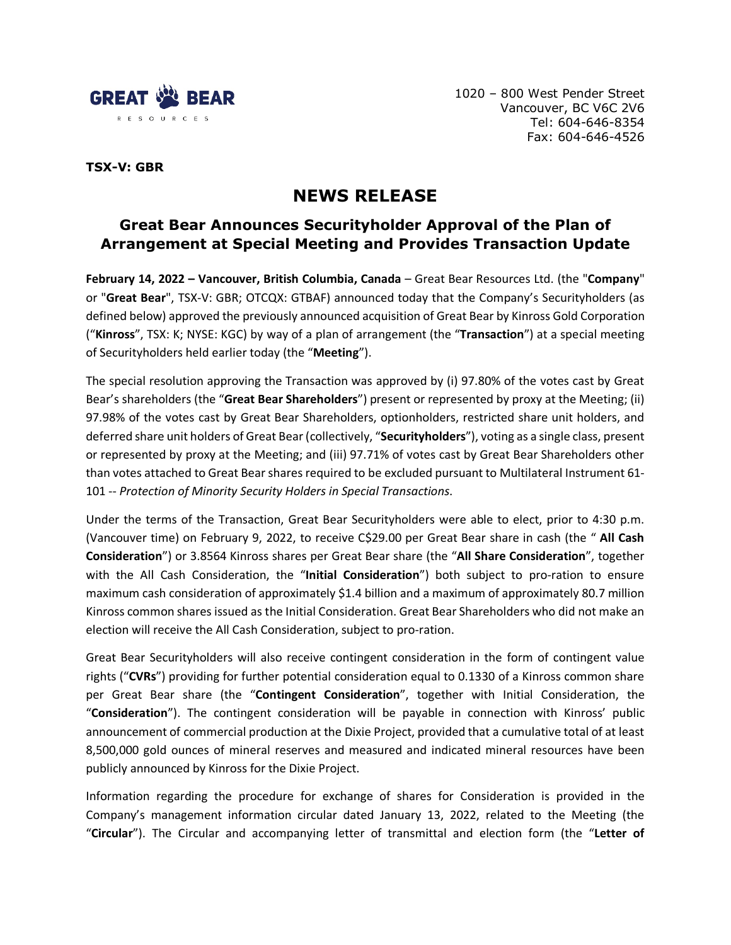

1020 – 800 West Pender Street Vancouver, BC V6C 2V6 Tel: 604-646-8354 Fax: 604-646-4526

**TSX-V: GBR**

# **NEWS RELEASE**

## **Great Bear Announces Securityholder Approval of the Plan of Arrangement at Special Meeting and Provides Transaction Update**

**February 14, 2022 – Vancouver, British Columbia, Canada** – Great Bear Resources Ltd. (the "**Company**" or "**Great Bear**", TSX-V: GBR; OTCQX: GTBAF) announced today that the Company's Securityholders (as defined below) approved the previously announced acquisition of Great Bear by Kinross Gold Corporation ("**Kinross**", TSX: K; NYSE: KGC) by way of a plan of arrangement (the "**Transaction**") at a special meeting of Securityholders held earlier today (the "**Meeting**").

The special resolution approving the Transaction was approved by (i) 97.80% of the votes cast by Great Bear's shareholders (the "**Great Bear Shareholders**") present or represented by proxy at the Meeting; (ii) 97.98% of the votes cast by Great Bear Shareholders, optionholders, restricted share unit holders, and deferred share unit holders of Great Bear (collectively, "**Securityholders**"), voting as a single class, present or represented by proxy at the Meeting; and (iii) 97.71% of votes cast by Great Bear Shareholders other than votes attached to Great Bear shares required to be excluded pursuant to Multilateral Instrument 61- 101 -- *Protection of Minority Security Holders in Special Transactions*.

Under the terms of the Transaction, Great Bear Securityholders were able to elect, prior to 4:30 p.m. (Vancouver time) on February 9, 2022, to receive C\$29.00 per Great Bear share in cash (the " **All Cash Consideration**") or 3.8564 Kinross shares per Great Bear share (the "**All Share Consideration**", together with the All Cash Consideration, the "**Initial Consideration**") both subject to pro-ration to ensure maximum cash consideration of approximately \$1.4 billion and a maximum of approximately 80.7 million Kinross common shares issued as the Initial Consideration. Great Bear Shareholders who did not make an election will receive the All Cash Consideration, subject to pro-ration.

Great Bear Securityholders will also receive contingent consideration in the form of contingent value rights ("**CVRs**") providing for further potential consideration equal to 0.1330 of a Kinross common share per Great Bear share (the "**Contingent Consideration**", together with Initial Consideration, the "**Consideration**"). The contingent consideration will be payable in connection with Kinross' public announcement of commercial production at the Dixie Project, provided that a cumulative total of at least 8,500,000 gold ounces of mineral reserves and measured and indicated mineral resources have been publicly announced by Kinross for the Dixie Project.

Information regarding the procedure for exchange of shares for Consideration is provided in the Company's management information circular dated January 13, 2022, related to the Meeting (the "**Circular**"). The Circular and accompanying letter of transmittal and election form (the "**Letter of**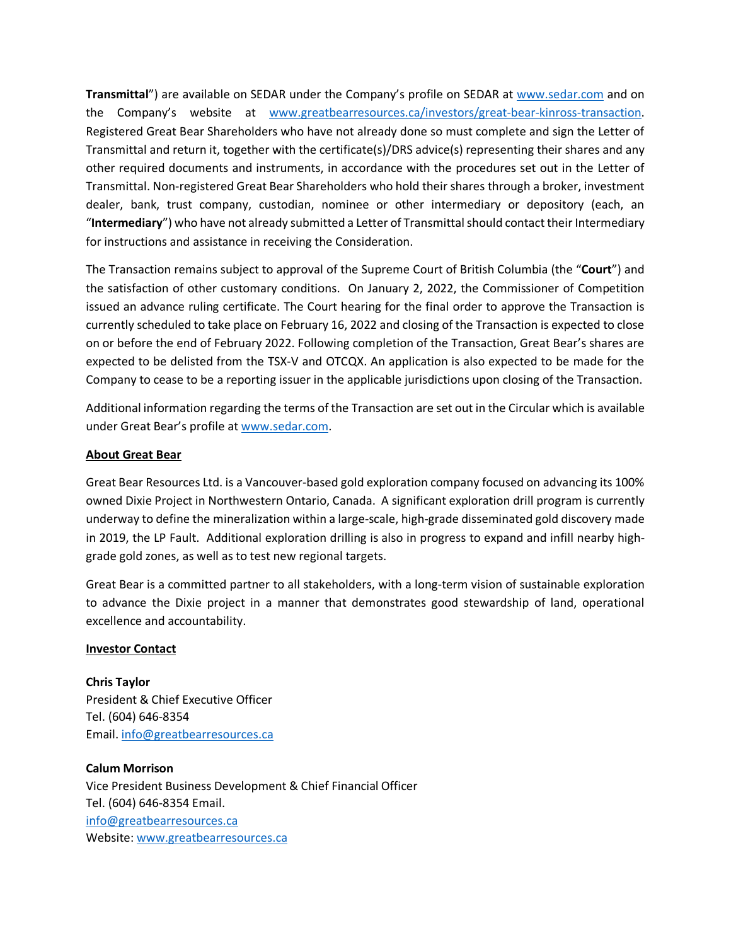**Transmittal**") are available on SEDAR under the Company's profile on SEDAR at [www.sedar.com](http://www.sedar.com/) and on the Company's website at [www.greatbearresources.ca/investors/great-bear-kinross-transaction.](http://www.greatbearresources.ca/investors/great-bear-kinross-transaction) Registered Great Bear Shareholders who have not already done so must complete and sign the Letter of Transmittal and return it, together with the certificate(s)/DRS advice(s) representing their shares and any other required documents and instruments, in accordance with the procedures set out in the Letter of Transmittal. Non-registered Great Bear Shareholders who hold their shares through a broker, investment dealer, bank, trust company, custodian, nominee or other intermediary or depository (each, an "**Intermediary**") who have not already submitted a Letter of Transmittal should contact their Intermediary for instructions and assistance in receiving the Consideration.

The Transaction remains subject to approval of the Supreme Court of British Columbia (the "**Court**") and the satisfaction of other customary conditions. On January 2, 2022, the Commissioner of Competition issued an advance ruling certificate. The Court hearing for the final order to approve the Transaction is currently scheduled to take place on February 16, 2022 and closing of the Transaction is expected to close on or before the end of February 2022. Following completion of the Transaction, Great Bear's shares are expected to be delisted from the TSX-V and OTCQX. An application is also expected to be made for the Company to cease to be a reporting issuer in the applicable jurisdictions upon closing of the Transaction.

Additional information regarding the terms of the Transaction are set out in the Circular which is available under Great Bear's profile at [www.sedar.com.](http://www.sedar.com/)

### **About Great Bear**

Great Bear Resources Ltd. is a Vancouver-based gold exploration company focused on advancing its 100% owned Dixie Project in Northwestern Ontario, Canada. A significant exploration drill program is currently underway to define the mineralization within a large-scale, high-grade disseminated gold discovery made in 2019, the LP Fault. Additional exploration drilling is also in progress to expand and infill nearby highgrade gold zones, as well as to test new regional targets.

Great Bear is a committed partner to all stakeholders, with a long-term vision of sustainable exploration to advance the Dixie project in a manner that demonstrates good stewardship of land, operational excellence and accountability.

### **Investor Contact**

**Chris Taylor**  President & Chief Executive Officer Tel. (604) 646-8354 Email[. info@greatbearresources.ca](mailto:info@greatbearresources.ca)

**Calum Morrison**  Vice President Business Development & Chief Financial Officer Tel. (604) 646-8354 Email. [info@greatbearresources.ca](mailto:info@greatbearresources.ca)

Website[: www.greatbearresources.ca](http://www.greatbearresources.ca/)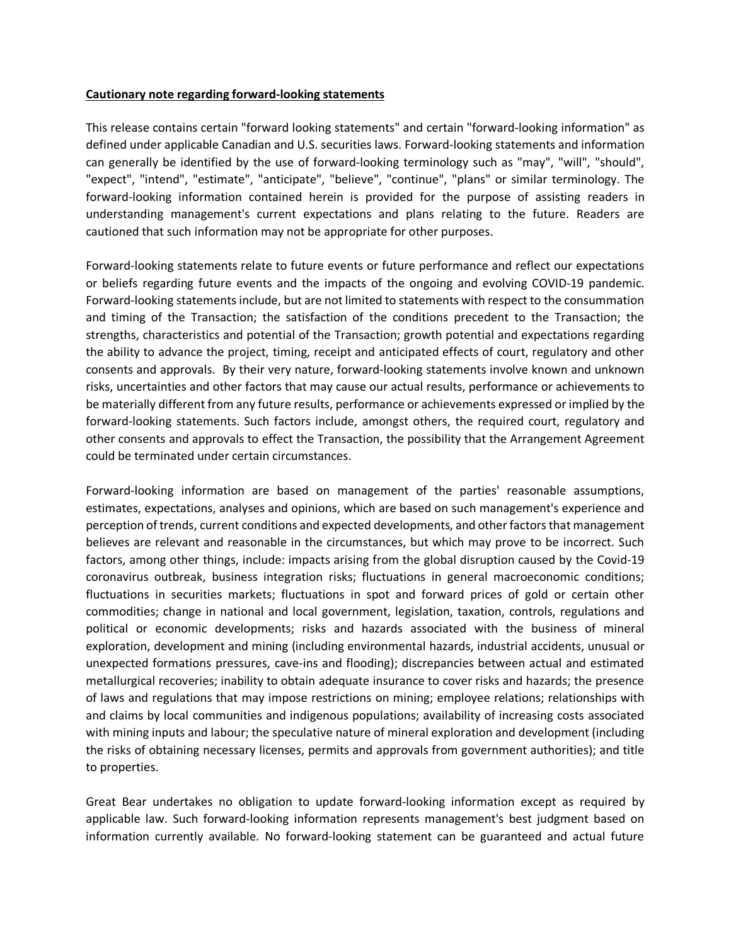#### **Cautionary note regarding forward-looking statements**

This release contains certain "forward looking statements" and certain "forward-looking information" as defined under applicable Canadian and U.S. securities laws. Forward-looking statements and information can generally be identified by the use of forward-looking terminology such as "may", "will", "should", "expect", "intend", "estimate", "anticipate", "believe", "continue", "plans" or similar terminology. The forward-looking information contained herein is provided for the purpose of assisting readers in understanding management's current expectations and plans relating to the future. Readers are cautioned that such information may not be appropriate for other purposes.

Forward-looking statements relate to future events or future performance and reflect our expectations or beliefs regarding future events and the impacts of the ongoing and evolving COVID-19 pandemic. Forward-looking statements include, but are not limited to statements with respect to the consummation and timing of the Transaction; the satisfaction of the conditions precedent to the Transaction; the strengths, characteristics and potential of the Transaction; growth potential and expectations regarding the ability to advance the project, timing, receipt and anticipated effects of court, regulatory and other consents and approvals. By their very nature, forward-looking statements involve known and unknown risks, uncertainties and other factors that may cause our actual results, performance or achievements to be materially different from any future results, performance or achievements expressed or implied by the forward-looking statements. Such factors include, amongst others, the required court, regulatory and other consents and approvals to effect the Transaction, the possibility that the Arrangement Agreement could be terminated under certain circumstances.

Forward-looking information are based on management of the parties' reasonable assumptions, estimates, expectations, analyses and opinions, which are based on such management's experience and perception of trends, current conditions and expected developments, and other factors that management believes are relevant and reasonable in the circumstances, but which may prove to be incorrect. Such factors, among other things, include: impacts arising from the global disruption caused by the Covid-19 coronavirus outbreak, business integration risks; fluctuations in general macroeconomic conditions; fluctuations in securities markets; fluctuations in spot and forward prices of gold or certain other commodities; change in national and local government, legislation, taxation, controls, regulations and political or economic developments; risks and hazards associated with the business of mineral exploration, development and mining (including environmental hazards, industrial accidents, unusual or unexpected formations pressures, cave-ins and flooding); discrepancies between actual and estimated metallurgical recoveries; inability to obtain adequate insurance to cover risks and hazards; the presence of laws and regulations that may impose restrictions on mining; employee relations; relationships with and claims by local communities and indigenous populations; availability of increasing costs associated with mining inputs and labour; the speculative nature of mineral exploration and development (including the risks of obtaining necessary licenses, permits and approvals from government authorities); and title to properties.

Great Bear undertakes no obligation to update forward-looking information except as required by applicable law. Such forward-looking information represents management's best judgment based on information currently available. No forward-looking statement can be guaranteed and actual future